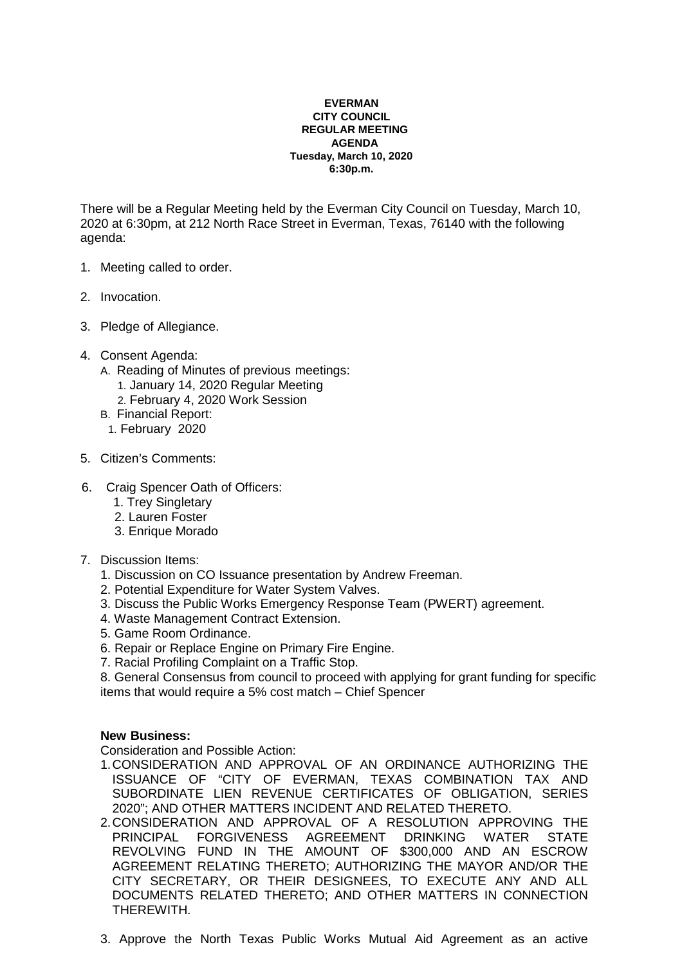## **EVERMAN CITY COUNCIL REGULAR MEETING AGENDA Tuesday, March 10, 2020 6:30p.m.**

There will be a Regular Meeting held by the Everman City Council on Tuesday, March 10, 2020 at 6:30pm, at 212 North Race Street in Everman, Texas, 76140 with the following agenda:

- 1. Meeting called to order.
- 2. Invocation.
- 3. Pledge of Allegiance.
- 4. Consent Agenda:
	- A. Reading of Minutes of previous meetings:
		- 1. January 14, 2020 Regular Meeting
		- 2. February 4, 2020 Work Session
	- B. Financial Report:
	- 1. February 2020
- 5. Citizen's Comments:
- 6. Craig Spencer Oath of Officers:
	- 1. Trey Singletary
	- 2. Lauren Foster
	- 3. Enrique Morado
- 7. Discussion Items:
	- 1. Discussion on CO Issuance presentation by Andrew Freeman.
	- 2. Potential Expenditure for Water System Valves.
	- 3. Discuss the Public Works Emergency Response Team (PWERT) agreement.
	- 4. Waste Management Contract Extension.
	- 5. Game Room Ordinance.
	- 6. Repair or Replace Engine on Primary Fire Engine.
	- 7. Racial Profiling Complaint on a Traffic Stop.

8. General Consensus from council to proceed with applying for grant funding for specific items that would require a 5% cost match – Chief Spencer

## **New Business:**

Consideration and Possible Action:

- 1. CONSIDERATION AND APPROVAL OF AN ORDINANCE AUTHORIZING THE ISSUANCE OF "CITY OF EVERMAN, TEXAS COMBINATION TAX AND SUBORDINATE LIEN REVENUE CERTIFICATES OF OBLIGATION, SERIES 2020"; AND OTHER MATTERS INCIDENT AND RELATED THERETO.
- 2. CONSIDERATION AND APPROVAL OF A RESOLUTION APPROVING THE PRINCIPAL FORGIVENESS AGREEMENT DRINKING WATER STATE REVOLVING FUND IN THE AMOUNT OF \$300,000 AND AN ESCROW AGREEMENT RELATING THERETO; AUTHORIZING THE MAYOR AND/OR THE CITY SECRETARY, OR THEIR DESIGNEES, TO EXECUTE ANY AND ALL DOCUMENTS RELATED THERETO; AND OTHER MATTERS IN CONNECTION THEREWITH.
- 3. Approve the North Texas Public Works Mutual Aid Agreement as an active